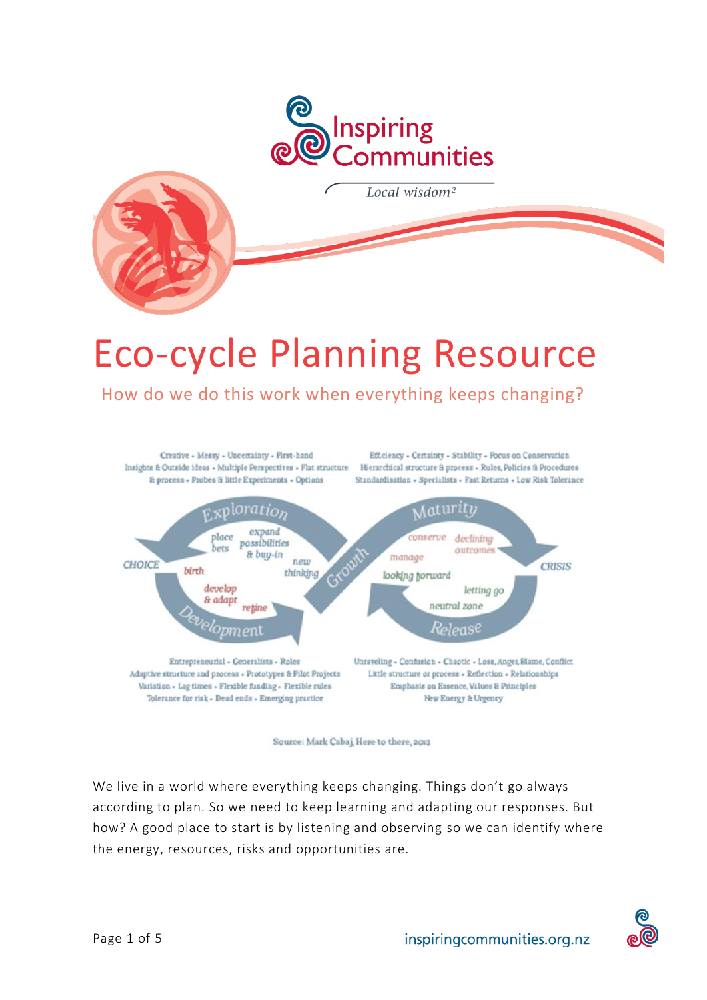



# Eco-cycle Planning Resource

How do we do this work when everything keeps changing?

Creative - Messy - Uncertainty - First-hand Insights & Outside ideas - Multiple Perspectives - Flat structure Hierarchical structure & process - Rules, Policies & Procedures & process - Probes & little Experiments - Options

Efficiency - Certainty - Stability - Focus on Conservation Standardisation - Specialists - Fast Returns - Low Risk Tolerance



Source: Mark Cabaj, Here to there, 2013

We live in a world where everything keeps changing. Things don't go always according to plan. So we need to keep learning and adapting our responses. But how? A good place to start is by listening and observing so we can identify where the energy, resources, risks and opportunities are.

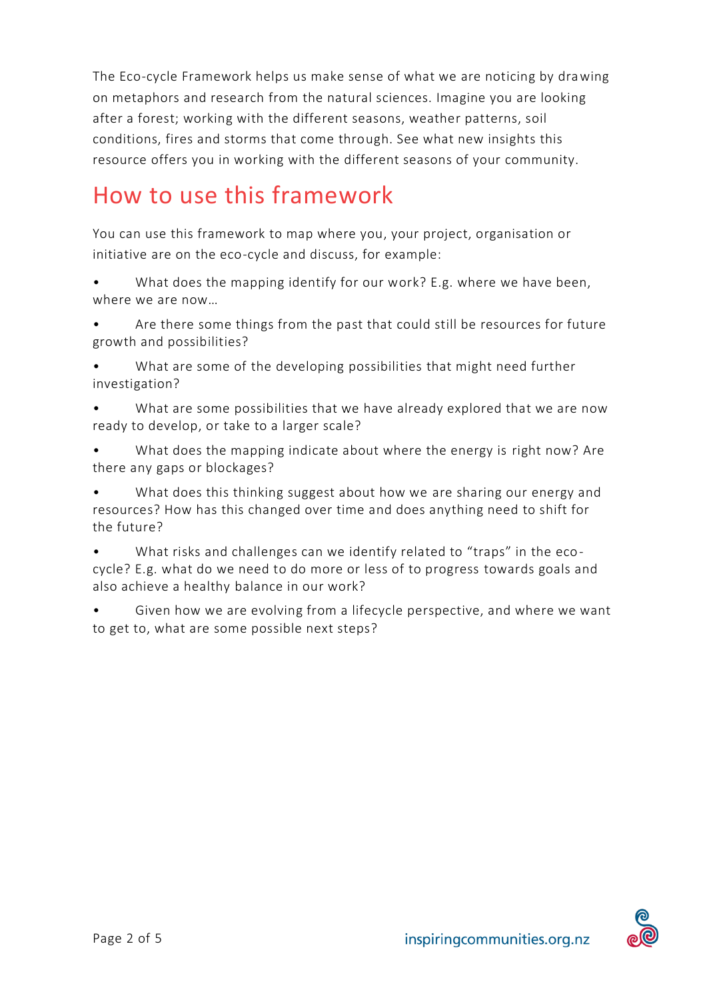The Eco-cycle Framework helps us make sense of what we are noticing by drawing on metaphors and research from the natural sciences. Imagine you are looking after a forest; working with the different seasons, weather patterns, soil conditions, fires and storms that come through. See what new insights this resource offers you in working with the different seasons of your community.

# How to use this framework

You can use this framework to map where you, your project, organisation or initiative are on the eco-cycle and discuss, for example:

- What does the mapping identify for our work? E.g. where we have been, where we are now…
- Are there some things from the past that could still be resources for future growth and possibilities?
- What are some of the developing possibilities that might need further investigation?
- What are some possibilities that we have already explored that we are now ready to develop, or take to a larger scale?
- What does the mapping indicate about where the energy is right now? Are there any gaps or blockages?
- What does this thinking suggest about how we are sharing our energy and resources? How has this changed over time and does anything need to shift for the future?
- What risks and challenges can we identify related to "traps" in the ecocycle? E.g. what do we need to do more or less of to progress towards goals and also achieve a healthy balance in our work?
- Given how we are evolving from a lifecycle perspective, and where we want to get to, what are some possible next steps?

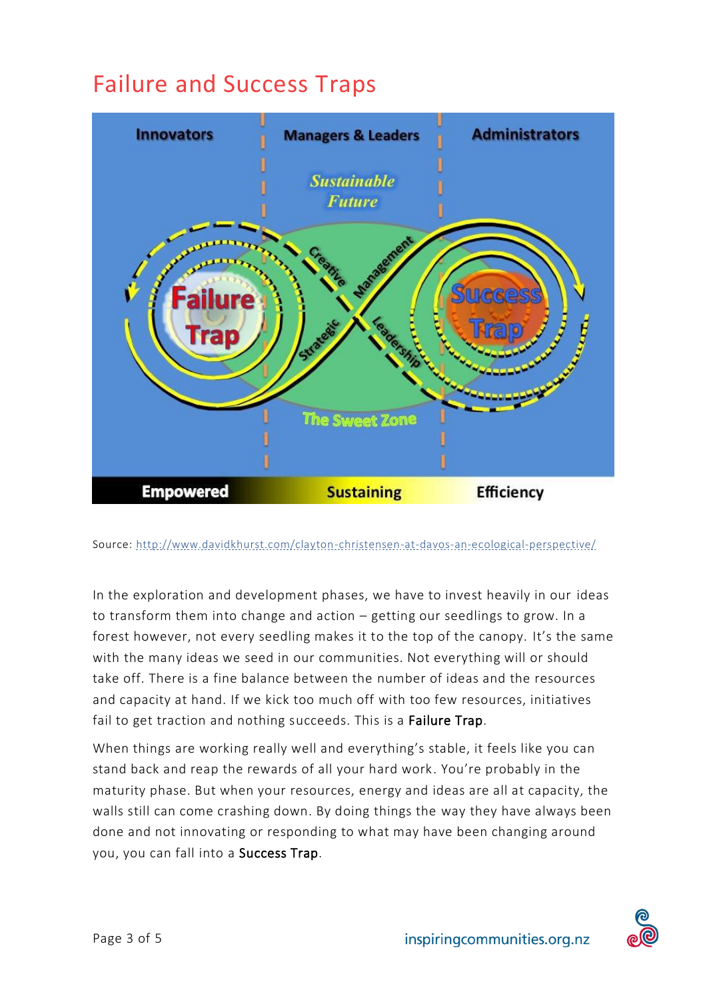# Failure and Success Traps



Source:<http://www.davidkhurst.com/clayton-christensen-at-davos-an-ecological-perspective/>

In the exploration and development phases, we have to invest heavily in our ideas to transform them into change and action – getting our seedlings to grow. In a forest however, not every seedling makes it to the top of the canopy. It's the same with the many ideas we seed in our communities. Not everything will or should take off. There is a fine balance between the number of ideas and the resources and capacity at hand. If we kick too much off with too few resources, initiatives fail to get traction and nothing succeeds. This is a Failure Trap.

When things are working really well and everything's stable, it feels like you can stand back and reap the rewards of all your hard work. You're probably in the maturity phase. But when your resources, energy and ideas are all at capacity, the walls still can come crashing down. By doing things the way they have always been done and not innovating or responding to what may have been changing around you, you can fall into a Success Trap.

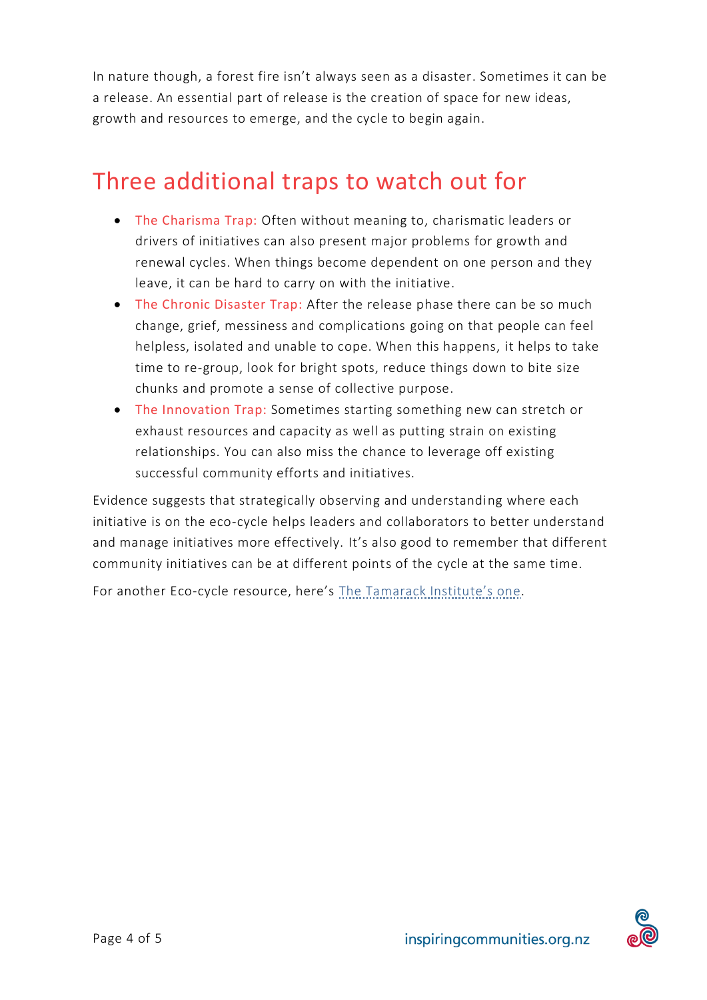In nature though, a forest fire isn't always seen as a disaster. Sometimes it can be a release. An essential part of release is the creation of space for new ideas, growth and resources to emerge, and the cycle to begin again.

### Three additional traps to watch out for

- The Charisma Trap: Often without meaning to, charismatic leaders or drivers of initiatives can also present major problems for growth and renewal cycles. When things become dependent on one person and they leave, it can be hard to carry on with the initiative.
- The Chronic Disaster Trap: After the release phase there can be so much change, grief, messiness and complications going on that people can feel helpless, isolated and unable to cope. When this happens, it helps to take time to re-group, look for bright spots, reduce things down to bite size chunks and promote a sense of collective purpose.
- The Innovation Trap: Sometimes starting something new can stretch or exhaust resources and capacity as well as putting strain on existing relationships. You can also miss the chance to leverage off existing successful community efforts and initiatives.

Evidence suggests that strategically observing and understanding where each initiative is on the eco-cycle helps leaders and collaborators to better understand and manage initiatives more effectively. It's also good to remember that different community initiatives can be at different points of the cycle at the same time.

For another Eco-cycle resource, here's The T[amarack Institute's on](https://www.tamarackcommunity.ca/hubfs/Resources/Tools/The%20Eco-Cycle%20Mapping%20Tool.pdf?hsCtaTracking=1fc51463-ffa7-4a7d-b0b9-2daa12df55ee%7Ccb8878b0-3cba-4978-b6e0-2805beafb8dc)e.